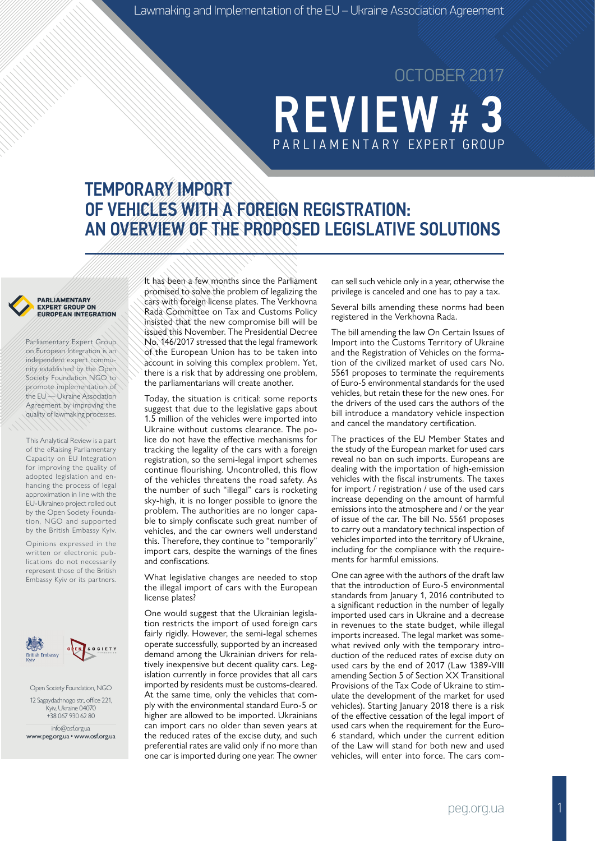# **REVIEW #** PARLIAMENTARY EXPERT GROUP OCTOBER 2017

## TEMPORARY IMPORT OF VEHICLES WITH A FOREIGN REGISTRATION: AN OVERVIEW OF THE PROPOSED LEGISLATIVE SOLUTIONS

#### PARLIAMENTARY **EXPERT GROUP ON EUROPEAN INTEGRATION**

Parliamentary Expert Group on European Integration is an independent expert community established by the Open Society Foundation NGO to promote implementation of the EU — Ukraine Association Agreement by improving the quality of lawmaking processes.

This Analytical Review is a part of the «Raising Parliamentary Capacity on EU Integration for improving the quality of adopted legislation and enhancing the process of legal approximation in line with the EU-Ukraine» project rolled out by the Open Society Foundation, NGO and supported by the British Embassy Kyiv.

Opinions expressed in the written or electronic publications do not necessarily represent those of the British Embassy Kyiv or its partners.



Open Society Foundation, NGO 12 Sagaydachnogo str., office 221, Kyiv, Ukraine 04070 +38 067 930 62 80

info@osf.org.ua [www.peg.org.ua](http://peg.org.ua/) • [www.osf.org.ua](http://osf.org.ua/)

It has been a few months since the Parliament promised to solve the problem of legalizing the cars with foreign license plates. The Verkhovna Rada Committee on Tax and Customs Policy insisted that the new compromise bill will be issued this November. The Presidential Decree No. 146/2017 stressed that the legal framework of the European Union has to be taken into account in solving this complex problem. Yet, there is a risk that by addressing one problem, the parliamentarians will create another.

Today, the situation is critical: some reports suggest that due to the legislative gaps about 1.5 million of the vehicles were imported into Ukraine without customs clearance. The police do not have the effective mechanisms for tracking the legality of the cars with a foreign registration, so the semi-legal import schemes continue flourishing. Uncontrolled, this flow of the vehicles threatens the road safety. As the number of such "illegal" cars is rocketing sky-high, it is no longer possible to ignore the problem. The authorities are no longer capable to simply confiscate such great number of vehicles, and the car owners well understand this. Therefore, they continue to "temporarily" import cars, despite the warnings of the fines and confiscations.

What legislative changes are needed to stop the illegal import of cars with the European license plates?

One would suggest that the Ukrainian legislation restricts the import of used foreign cars fairly rigidly. However, the semi-legal schemes operate successfully, supported by an increased demand among the Ukrainian drivers for relatively inexpensive but decent quality cars. Legislation currently in force provides that all cars imported by residents must be customs-cleared. At the same time, only the vehicles that comply with the environmental standard Euro-5 or higher are allowed to be imported. Ukrainians can import cars no older than seven years at the reduced rates of the excise duty, and such preferential rates are valid only if no more than one car is imported during one year. The owner

can sell such vehicle only in a year, otherwise the privilege is canceled and one has to pay a tax.

Several bills amending these norms had been registered in the Verkhovna Rada.

The bill amending the law On Certain Issues of Import into the Customs Territory of Ukraine and the Registration of Vehicles on the formation of the civilized market of used cars No. 5561 proposes to terminate the requirements of Euro-5 environmental standards for the used vehicles, but retain these for the new ones. For the drivers of the used cars the authors of the bill introduce a mandatory vehicle inspection and cancel the mandatory certification.

The practices of the EU Member States and the study of the European market for used cars reveal no ban on such imports. Europeans are dealing with the importation of high-emission vehicles with the fiscal instruments. The taxes for import / registration / use of the used cars increase depending on the amount of harmful emissions into the atmosphere and / or the year of issue of the car. The bill No. 5561 proposes to carry out a mandatory technical inspection of vehicles imported into the territory of Ukraine, including for the compliance with the requirements for harmful emissions.

One can agree with the authors of the draft law that the introduction of Euro-5 environmental standards from January 1, 2016 contributed to a significant reduction in the number of legally imported used cars in Ukraine and a decrease in revenues to the state budget, while illegal imports increased. The legal market was somewhat revived only with the temporary introduction of the reduced rates of excise duty on used cars by the end of 2017 (Law 1389-VIII amending Section 5 of Section XX Transitional Provisions of the Tax Code of Ukraine to stimulate the development of the market for used vehicles). Starting January 2018 there is a risk of the effective cessation of the legal import of used cars when the requirement for the Euro-6 standard, which under the current edition of the Law will stand for both new and used vehicles, will enter into force. The cars com-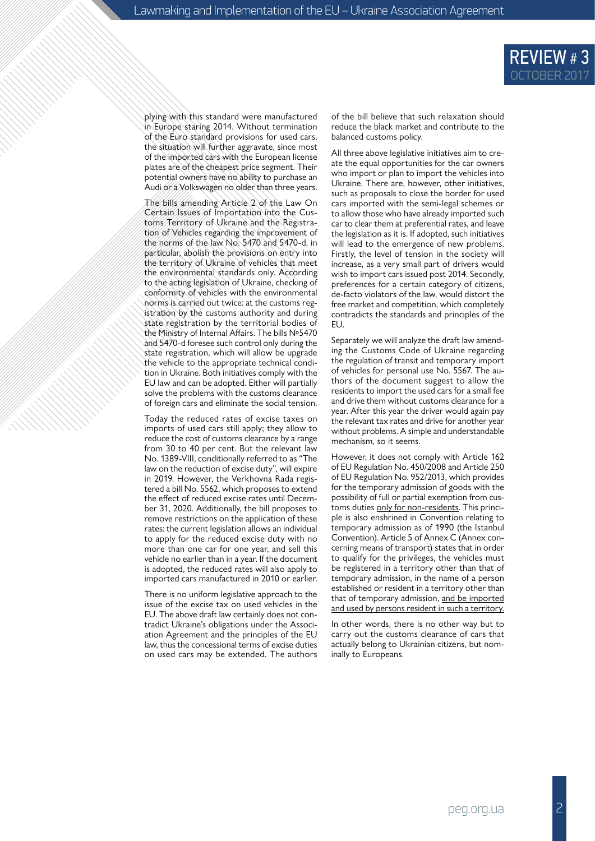

plying with this standard were manufactured in Europe staring 2014. Without termination of the Euro standard provisions for used cars, the situation will further aggravate, since most of the imported cars with the European license plates are of the cheapest price segment. Their potential owners have no ability to purchase an Audi or a Volkswagen no older than three years.

The bills amending Article 2 of the Law On Certain Issues of Importation into the Customs Territory of Ukraine and the Registration of Vehicles regarding the improvement of the norms of the law No. 5470 and 5470-d, in particular, abolish the provisions on entry into the territory of Ukraine of vehicles that meet the environmental standards only. According to the acting legislation of Ukraine, checking of conformity of vehicles with the environmental norms is carried out twice: at the customs registration by the customs authority and during state registration by the territorial bodies of the Ministry of Internal Affairs. The bills №5470 and 5470-d foresee such control only during the state registration, which will allow be upgrade the vehicle to the appropriate technical condition in Ukraine. Both initiatives comply with the EU law and can be adopted. Either will partially solve the problems with the customs clearance of foreign cars and eliminate the social tension.

Today the reduced rates of excise taxes on imports of used cars still apply; they allow to reduce the cost of customs clearance by a range from 30 to 40 per cent. But the relevant law No. 1389-VIII, conditionally referred to as "The law on the reduction of excise duty", will expire in 2019. However, the Verkhovna Rada registered a bill No. 5562, which proposes to extend the effect of reduced excise rates until December 31, 2020. Additionally, the bill proposes to remove restrictions on the application of these rates: the current legislation allows an individual to apply for the reduced excise duty with no more than one car for one year, and sell this vehicle no earlier than in a year. If the document is adopted, the reduced rates will also apply to imported cars manufactured in 2010 or earlier.

There is no uniform legislative approach to the issue of the excise tax on used vehicles in the EU. The above draft law certainly does not contradict Ukraine's obligations under the Association Agreement and the principles of the EU law, thus the concessional terms of excise duties on used cars may be extended. The authors

of the bill believe that such relaxation should reduce the black market and contribute to the balanced customs policy.

All three above legislative initiatives aim to create the equal opportunities for the car owners who import or plan to import the vehicles into Ukraine. There are, however, other initiatives, such as proposals to close the border for used cars imported with the semi-legal schemes or to allow those who have already imported such car to clear them at preferential rates, and leave the legislation as it is. If adopted, such initiatives will lead to the emergence of new problems. Firstly, the level of tension in the society will increase, as a very small part of drivers would wish to import cars issued post 2014. Secondly, preferences for a certain category of citizens, de-facto violators of the law, would distort the free market and competition, which completely contradicts the standards and principles of the EU.

Separately we will analyze the draft law amending the Customs Code of Ukraine regarding the regulation of transit and temporary import of vehicles for personal use No. 5567. The authors of the document suggest to allow the residents to import the used cars for a small fee and drive them without customs clearance for a year. After this year the driver would again pay the relevant tax rates and drive for another year without problems. A simple and understandable mechanism, so it seems.

However, it does not comply with Article 162 of EU Regulation No. 450/2008 and Article 250 of EU Regulation No. 952/2013, which provides for the temporary admission of goods with the possibility of full or partial exemption from customs duties only for non-residents. This principle is also enshrined in Convention relating to temporary admission as of 1990 (the Istanbul Convention). Article 5 of Annex C (Annex concerning means of transport) states that in order to qualify for the privileges, the vehicles must be registered in a territory other than that of temporary admission, in the name of a person established or resident in a territory other than that of temporary admission, and be imported and used by persons resident in such a territory.

In other words, there is no other way but to carry out the customs clearance of cars that actually belong to Ukrainian citizens, but nominally to Europeans.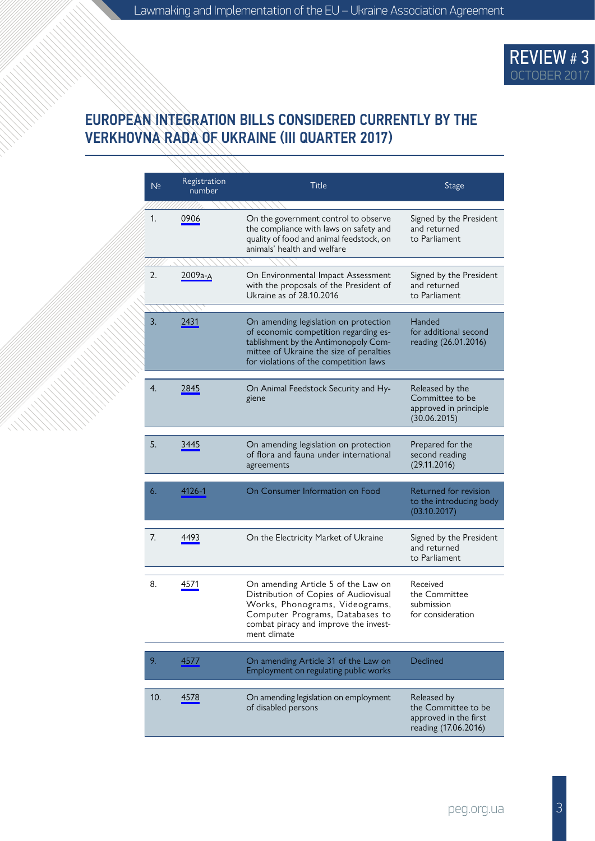

#### EUROPEAN INTEGRATION BILLS CONSIDERED CURRENTLY BY THE VERKHOVNA RADA OF UKRAINE (ІІI QUARTER 2017)

77777777

| N <sub>2</sub> | Registration<br>number | <b>Title</b>                                                                                                                                                                                                | <b>Stage</b>                                                                        |
|----------------|------------------------|-------------------------------------------------------------------------------------------------------------------------------------------------------------------------------------------------------------|-------------------------------------------------------------------------------------|
| 1.             | 0906                   | On the government control to observe<br>the compliance with laws on safety and<br>quality of food and animal feedstock, on<br>animals' health and welfare                                                   | Signed by the President<br>and returned<br>to Parliament                            |
| 2.             | 2009а-д                | On Environmental Impact Assessment<br>with the proposals of the President of<br>Ukraine as of 28.10.2016                                                                                                    | Signed by the President<br>and returned<br>to Parliament                            |
| 3.             | 2431                   | On amending legislation on protection<br>of economic competition regarding es-<br>tablishment by the Antimonopoly Com-<br>mittee of Ukraine the size of penalties<br>for violations of the competition laws | Handed<br>for additional second<br>reading (26.01.2016)                             |
| 4.             | 2845                   | On Animal Feedstock Security and Hy-<br>giene                                                                                                                                                               | Released by the<br>Committee to be<br>approved in principle<br>(30.06.2015)         |
| 5.             | 3445                   | On amending legislation on protection<br>of flora and fauna under international<br>agreements                                                                                                               | Prepared for the<br>second reading<br>(29.11.2016)                                  |
| 6.             | 4126-1                 | On Consumer Information on Food                                                                                                                                                                             | Returned for revision<br>to the introducing body<br>(03.10.2017)                    |
| 7.             | 4493                   | On the Electricity Market of Ukraine                                                                                                                                                                        | Signed by the President<br>and returned<br>to Parliament                            |
| 8.             | 4571                   | On amending Article 5 of the Law on<br>Distribution of Copies of Audiovisual<br>Works, Phonograms, Videograms,<br>Computer Programs, Databases to<br>combat piracy and improve the invest-<br>ment climate  | Received<br>the Committee<br>submission<br>for consideration                        |
| 9.             | 4577                   | On amending Article 31 of the Law on<br>Employment on regulating public works                                                                                                                               | Declined                                                                            |
| 10.            | 4578                   | On amending legislation on employment<br>of disabled persons                                                                                                                                                | Released by<br>the Committee to be<br>approved in the first<br>reading (17.06.2016) |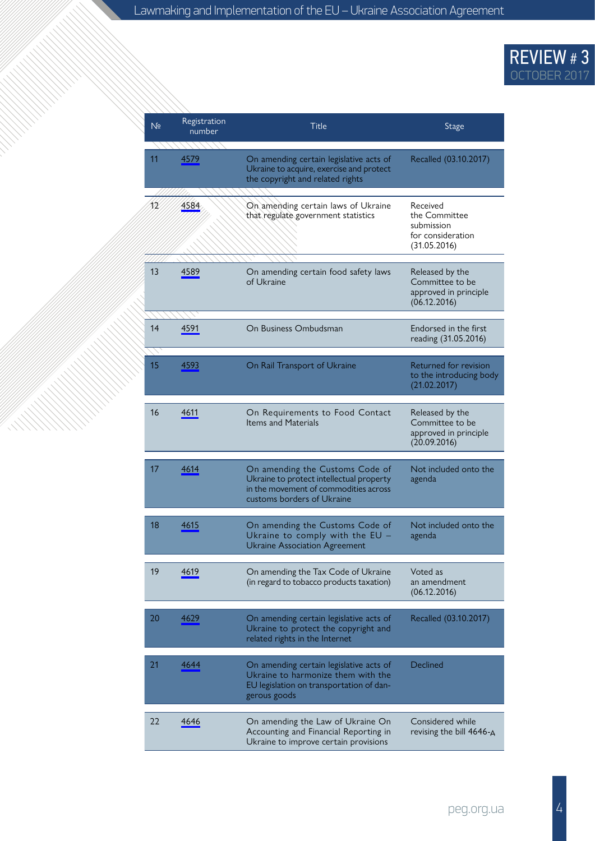### REVIEW # 3 OCTOBER 2017

| N <sub>2</sub> | Registration<br>number | Title                                                                                                                                              | Stage                                                                        |
|----------------|------------------------|----------------------------------------------------------------------------------------------------------------------------------------------------|------------------------------------------------------------------------------|
| 11             | 4579                   | On amending certain legislative acts of<br>Ukraine to acquire, exercise and protect<br>the copyright and related rights                            | Recalled (03.10.2017)                                                        |
| 12             | 4584                   | On amending certain laws of Ukraine<br>that regulate government statistics                                                                         | Received<br>the Committee<br>submission<br>for consideration<br>(31.05.2016) |
| 13             | 4589                   | On amending certain food safety laws<br>of Ukraine                                                                                                 | Released by the<br>Committee to be<br>approved in principle<br>(06.12.2016)  |
| 14             | 4591                   | On Business Ombudsman                                                                                                                              | Endorsed in the first<br>reading (31.05.2016)                                |
| 15             | 4593                   | On Rail Transport of Ukraine                                                                                                                       | Returned for revision<br>to the introducing body<br>(21.02.2017)             |
| 16             | 4611                   | On Requirements to Food Contact<br><b>Items and Materials</b>                                                                                      | Released by the<br>Committee to be<br>approved in principle<br>(20.09.2016)  |
| 17             | 4614                   | On amending the Customs Code of<br>Ukraine to protect intellectual property<br>in the movement of commodities across<br>customs borders of Ukraine | Not included onto the<br>agenda                                              |
| 18             | 4615                   | On amending the Customs Code of<br>Ukraine to comply with the EU -<br><b>Ukraine Association Agreement</b>                                         | Not included onto the<br>agenda                                              |
| 19             | 4619                   | On amending the Tax Code of Ukraine<br>(in regard to tobacco products taxation)                                                                    | Voted as<br>an amendment<br>(06.12.2016)                                     |
| 20             | 4629                   | On amending certain legislative acts of<br>Ukraine to protect the copyright and<br>related rights in the Internet                                  | Recalled (03.10.2017)                                                        |
| 21             | 4644                   | On amending certain legislative acts of<br>Ukraine to harmonize them with the<br>EU legislation on transportation of dan-<br>gerous goods          | Declined                                                                     |
| 22             | 4646                   | On amending the Law of Ukraine On<br>Accounting and Financial Reporting in<br>Ukraine to improve certain provisions                                | Considered while<br>revising the bill $4646 - A$                             |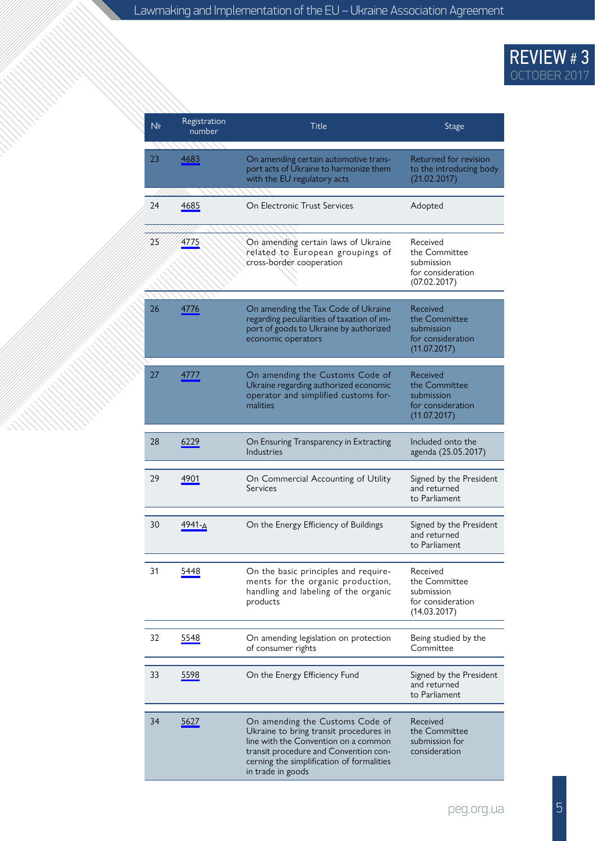### REVIEW # 3 OCTOBER 2017

| N <sub>2</sub> | Registration<br>number | Title                                                                                                                                                                                                                        | Stage                                                                        |
|----------------|------------------------|------------------------------------------------------------------------------------------------------------------------------------------------------------------------------------------------------------------------------|------------------------------------------------------------------------------|
| 23             | 4683                   | On amending certain automotive trans-<br>port acts of Ukraine to harmonize them<br>with the EU regulatory acts                                                                                                               | Returned for revision<br>to the introducing body<br>(21.02.2017)             |
| 24             | 4685                   | On Electronic Trust Services                                                                                                                                                                                                 | Adopted                                                                      |
| 25             | 4775                   | On amending certain laws of Ukraine<br>related to European groupings of<br>cross-border cooperation                                                                                                                          | Received<br>the Committee<br>submission<br>for consideration<br>(07.02.2017) |
| 26             | 4776                   | On amending the Tax Code of Ukraine<br>regarding peculiarities of taxation of im-<br>port of goods to Ukraine by authorized<br>economic operators                                                                            | Received<br>the Committee<br>submission<br>for consideration<br>(11.07.2017) |
| 27             | 4777                   | On amending the Customs Code of<br>Ukraine regarding authorized economic<br>operator and simplified customs for-<br>malities                                                                                                 | Received<br>the Committee<br>submission<br>for consideration<br>(11.07.2017) |
| 28             | 6229                   | On Ensuring Transparency in Extracting<br>Industries                                                                                                                                                                         | Included onto the<br>agenda (25.05.2017)                                     |
| 29             | 4901                   | On Commercial Accounting of Utility<br>Services                                                                                                                                                                              | Signed by the President<br>and returned<br>to Parliament                     |
| 30             | 4941-A                 | On the Energy Efficiency of Buildings                                                                                                                                                                                        | Signed by the President<br>and returned<br>to Parliament                     |
| 31             | 5448                   | On the basic principles and require-<br>ments for the organic production,<br>handling and labeling of the organic<br>products                                                                                                | Received<br>the Committee<br>submission<br>for consideration<br>(14.03.2017) |
| 32             | 5548                   | On amending legislation on protection<br>of consumer rights                                                                                                                                                                  | Being studied by the<br>Committee                                            |
| 33             | 5598                   | On the Energy Efficiency Fund                                                                                                                                                                                                | Signed by the President<br>and returned<br>to Parliament                     |
| 34             | 5627                   | On amending the Customs Code of<br>Ukraine to bring transit procedures in<br>line with the Convention on a common<br>transit procedure and Convention con-<br>cerning the simplification of formalities<br>in trade in goods | Received<br>the Committee<br>submission for<br>consideration                 |